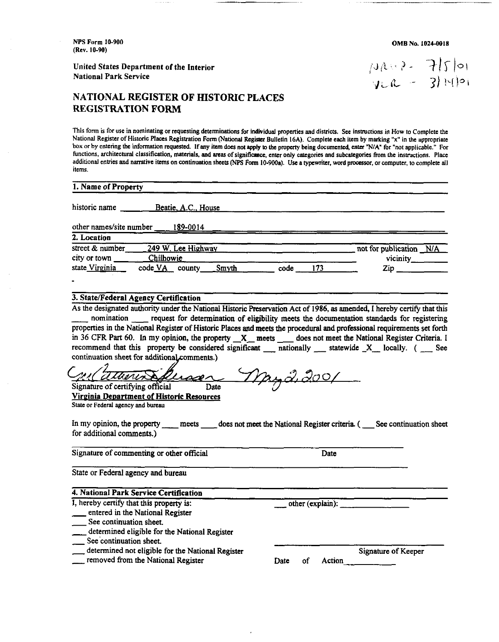**NPS Farm** 10-900 **(Rev.** 10-90)

United States Department of the Interior National Park Sewice

### **NATIONAL REGISTER OF HISTORIC PLACES REGISTRATION FORM**

This form is for use in nominating or requesting determinations for individual properties and districts. See instructions in How to Complete the National Register of Historic Places Registration Form (National Register Bulletin 16A). Complete each item by marking "x" in the appropriate box or by entering the information requested. If any item does not apply to the property being documented, enter "N/A" for "not applicable." For functions, architectural classification, materials, and areas of significance, enter only categories and subcategories from the instructions. Place additional entries and narrative items on continuation sheets (NPS Form 10-900a). Use a typewriter, word processor, or computer, to complete all it

| Beatie, A.C., House |                                                                                    |                          |
|---------------------|------------------------------------------------------------------------------------|--------------------------|
| 189-0014            |                                                                                    |                          |
|                     |                                                                                    | not for publication N/A  |
|                     |                                                                                    | vicinity________         |
| Smyth               | 173<br>code                                                                        | $\mathsf{Zip}_{\square}$ |
|                     | other names/site number<br>249 W. Lee Highway<br>Chilhowie<br>code <u>VA</u> count |                          |

- nomination - request for determination of eligibility meets the documentation standards for registering properties in the National Register of Historic Places and meets the procedural and professional requirements set forth As the designated authority under the National Historic Preservation Act of 1986, as amended, I hereby certify that this nomination in the National Register of Historic Places and meets the procedural and professional requ nomination <u>request</u> for determination of eligibility meets the documentation standards for registering<br>properties in the National Register of Historic Places and meets the procedural and professional requirements set fort continuation sheet for additional comments.)

 $\circ$ / Date *I p*  $\frac{M}{\text{Sigma of critical}}$  Signature of certifying official<br>  $\frac{M}{\text{Sigma of the original}}$  Date<br>  $\frac{M}{\text{Sigma of the original}}$  Department of Historic Resources<br>
State or Federal agency and bureau<br>
In my opinion, the property meets does not meet the National Reg

Virginia Department of Historic Resources Slate or Federal agency and **bureau** 

for additional comments.)

Signature of commenting or other official Date

State or Federal agency and bureau

| State or Federal agency and bureau            |                  |  |
|-----------------------------------------------|------------------|--|
| 4. National Park Service Certification        |                  |  |
| I, hereby certify that this property is:      | other (explain): |  |
| entered in the National Register              |                  |  |
| See continuation sheet.                       |                  |  |
| determined eligible for the National Register |                  |  |

- 
- 
- entered in the National Register<br>See continuation sheet.<br>Letermined eligible for the National Register
- See'continuation sheet.
- determined not eligible for the National Register<br>
in the National Register That Date of Action
- 

See continuation sheet.<br>
See continuation sheet.<br>
See continuation sheet.<br>
See continuation sheet.<br>
Signature of Keeper<br>
Signature of Keeper<br>
Signature of Keeper<br>
Signature of Keeper<br>
Date of Action

**OMB No. 1024-0018** 

 $144.2 - 750$  $JCR = 3|F|_{0}$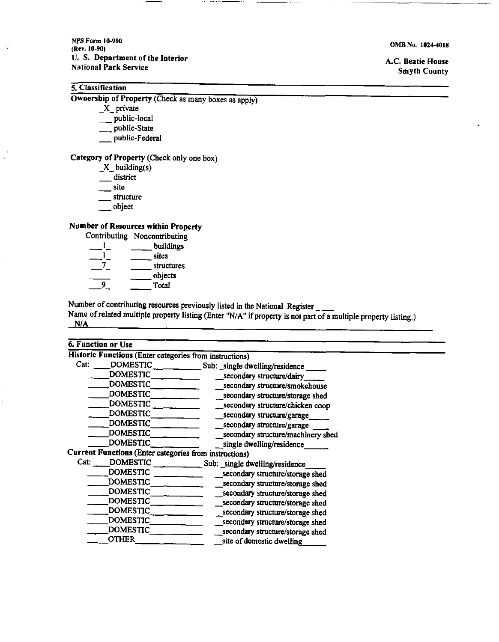**NPS Form 10.900 (Rev. 10-90) U.** S. Department of the Interior Nstional Park Service

#### 5. Classification

 $\chi^2_{\rm c}$ 

 $\frac{1}{2}$ 

Ownership of Property (Check **as** many boxes **as** apply) Iteation<br>
ip of Property (<br>
X\_private<br>
\_\_public-local<br>
\_\_public-State

X\_private<br>\_\_public-local

ip of Property ((<br>
X\_private<br>
\_\_public-local<br>
\_\_public-State<br>
\_\_public-Federa X\_private<br>
\_\_ public-local<br>
public-State<br>
\_\_ public-Federal

## Category of Property (Check only one box) of Propert<br>X\_building<br>\_\_district<br>\_\_site

- **X-** buildimg(s) of Prop<br>
X\_buik<br>
distri<br>
site<br>
struct  $X_{\text{right}}$  building(s<br>  $\frac{1}{\text{right}}$  site<br>  $\frac{1}{\text{structure}}$  structure<br>  $\frac{1}{\text{object}}$ 

- object

#### Number of Resources within Property

| structure                 |                                |
|---------------------------|--------------------------------|
| obiect                    |                                |
|                           | nber of Resources within Prope |
|                           | Contributing Noncontributing   |
|                           | buildings                      |
|                           | sites                          |
|                           | structures                     |
|                           | objects                        |
|                           | Total                          |
| iher of contributing reso |                                |

Number of contributing resources previously listed in the National Register \_ \_\_\_<br>Vame of related multiple property listing (Enter "N/A" if property is not part of a multiple property listing.) **NIA** 

| 6. Function or Use      |                                                         |
|-------------------------|---------------------------------------------------------|
|                         | Historic Functions (Enter categories from instructions) |
| Cat:<br><b>DOMESTIC</b> | Sub: _single dwelling/residence                         |
| <b>DOMESTIC</b>         | secondary structure/dairy                               |
| <b>DOMESTIC</b>         | secondary structure/smokehouse                          |
| <b>DOMESTIC</b>         | secondary structure/storage shed                        |
| <b>DOMESTIC</b>         | secondary structure/chicken coop                        |
| <b>DOMESTIC</b>         | secondary structure/garage                              |
| <b>DOMESTIC</b>         | secondary structure/garage                              |
| <b>DOMESTIC</b>         | secondary structure/machinery shed                      |
| <b>DOMESTIC</b>         | single dwelling/residence                               |
|                         | Current Functions (Enter categories from instructions)  |
| Cat:<br><b>DOMESTIC</b> | Sub: single dwelling/residence                          |
| <b>DOMESTIC</b>         | _secondary structure/storage shed                       |
| <b>DOMESTIC</b>         | secondary structure/storage shed                        |
| <b>DOMESTIC</b>         | secondary structure/storage shed                        |
| <b>DOMESTIC</b>         | secondary structure/storage shed                        |
| <b>DOMESTIC</b>         | secondary structure/storage shed                        |
| <b>DOMESTIC</b>         | secondary structure/storage shed                        |
| <b>DOMESTIC</b>         | secondary structure/storage shed                        |
| <b>OTHER</b>            | site of domestic dwelling                               |

**OMB No. 1024-4018** 

A.C. Beatie House Smyth County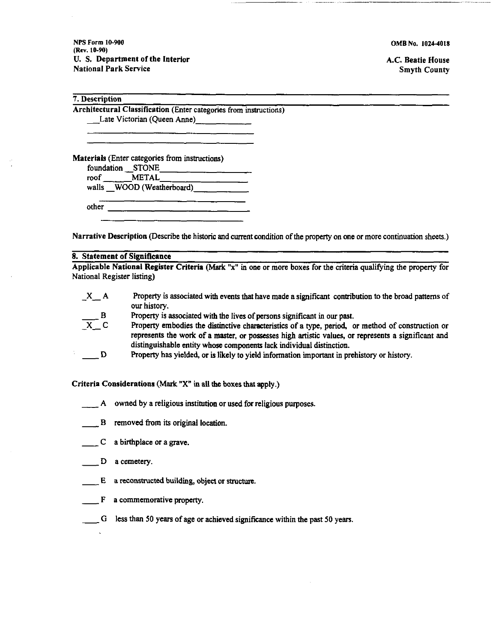**NPS Form 10-900 (Rev. 10-90) U.** S. Department of the Interior National Park Service

**OMB No. 1024-4018** 

A.C. Beatie House Smyth County

7. Description<br>Architectural Classification (Enter categories from instructions)<br>Late Victorian (Queen Anne)

Materials (Enter categories from instructions)

foundation -STONE

roof METAL

walls WOOD (Weatherboard)

other 

--

Narrative Description (Describe the historic and current condition of the property on one or more continuation sheets.)

#### 8. Statement of Significance

National Register listing)

| $X_A$                       | Property is associated with events that have made a significant contribution to the broad patterns of                                                                                                                                                                            |
|-----------------------------|----------------------------------------------------------------------------------------------------------------------------------------------------------------------------------------------------------------------------------------------------------------------------------|
|                             | our history.                                                                                                                                                                                                                                                                     |
|                             | Property is associated with the lives of persons significant in our past.                                                                                                                                                                                                        |
| $\frac{B}{X}$ $\frac{B}{C}$ | Property embodies the distinctive characteristics of a type, period, or method of construction or<br>represents the work of a master, or possesses high artistic values, or represents a significant and<br>distinguishable entity whose components lack individual distinction. |
| D <sub>D</sub>              | Property has yielded, or is likely to yield information important in prehistory or history.                                                                                                                                                                                      |

Criteria Considerations **(Mark "X"** in all the boxes that apply.)<br>
4 owned by a religious institution or used for religious<br>
<u>B</u> removed from its original location.

- A owned by a religious institution or used for religious purposes. A owned by a religious in:<br>
B removed from its origin<br>
C a birthplace or a grave.
- 
- B removed from<br>
C a birthplace<br>
D a cemetery.
- 

 $\frac{1}{2}$ 

- $\begin{array}{c}\nC \text{ a birthplace or a grave.} \\
\hline\nD \text{ a cemetery.} \\
E \text{ a reconstructed building, object or structure.}\n\end{array}$
- $\begin{array}{c} \begin{array}{c} \begin{array}{c} \end{array} \end{array}$  F a commemorative property.
- G less than **50** years of age or achieved significance within the past **50** years.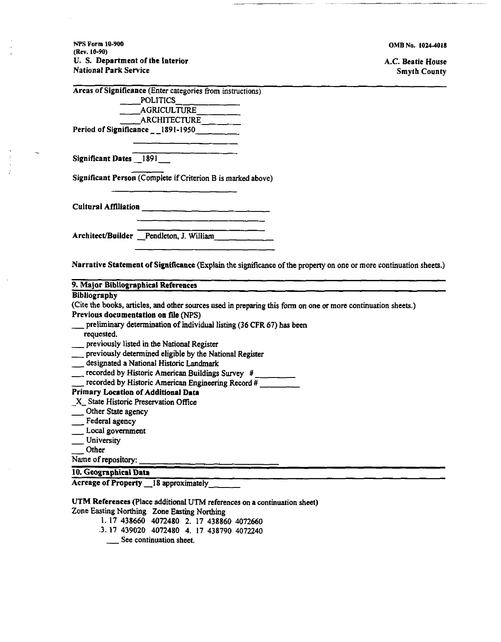**NPS Form 10-900 (Rev. 10-90) U.** S. Department of tbe Interior National Park Service ment of the Inter<br>
Service<br>
Finance (Enter can<br>
POLITICS<br>
AGRICULT<br>
A B CUITE

-

**OMB No. 10244018** 

A.C. Beatie House Smyth County

|                        | Areas of Significance (Enter categories from instructions)   |
|------------------------|--------------------------------------------------------------|
|                        | POLITICS                                                     |
|                        | AGRICULTURE                                                  |
|                        | ARCHITECTURE _____                                           |
|                        | Period of Significance $-1891-1950$                          |
| Significant Dates 1891 | Significant Person (Complete if Criterion B is marked above) |
|                        |                                                              |
|                        |                                                              |

Narrative Statement of Significance (Explain the significance of the property on one or more continuation sheets.)

| 9. Major Bibliographical References                                                                           |
|---------------------------------------------------------------------------------------------------------------|
| <b>Bibliography</b>                                                                                           |
| (Cite the books, articles, and other sources used in preparing this form on one or more continuation sheets.) |
| Previous documentation on file (NPS)                                                                          |
| preliminary determination of individual listing (36 CFR 67) has been                                          |
| requested.                                                                                                    |
| __ previously listed in the National Register                                                                 |
| previously determined eligible by the National Register                                                       |
| __ designated a National Historic Landmark                                                                    |
| recorded by Historic American Buildings Survey #                                                              |
| recorded by Historic American Engineering Record #                                                            |
| Primary Location of Additional Data                                                                           |
| $X$ State Historic Preservation Office                                                                        |
| Other State agency                                                                                            |
| Federal agency                                                                                                |
| Local government                                                                                              |
| University                                                                                                    |
| Other                                                                                                         |
| Name of repository:                                                                                           |
| 10. Geographical Data                                                                                         |
| Acreage of Property 18 approximately                                                                          |

**UTM** References (Place additional UTM references on a continuation sheet)

Zone Easting Northing Zone Easting Northing ng Northing Zone Easting<br>17 438660 4072480 2.1<br>17 439020 4072480 4.1<br>See continuation sheet.

1. 17 438660 4072480 2. 17 438860 4072660 .3.17 439020 4072480 4. 17 438790 4072240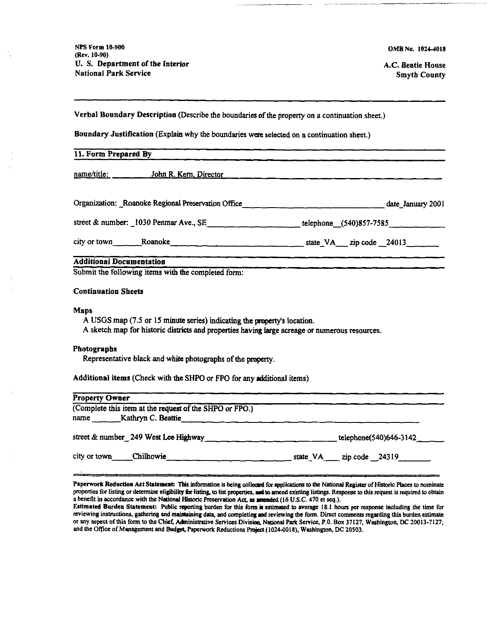NPS Form 10-900 (Rev. 10-90) U. S. Department of the Interior **National Park Service** 

OMB No. 1024-4018

A.C. Beatie House **Smyth County** 

Verbal Boundary Description (Describe the boundaries of the property on a continuation sheet.)

Boundary Justification (Explain why the boundaries were selected on a continuation sheet.)

| 11. Form Prepared By                                                                                                                                                                      |  |  |
|-------------------------------------------------------------------------------------------------------------------------------------------------------------------------------------------|--|--|
|                                                                                                                                                                                           |  |  |
| Organization: Roanoke Regional Preservation Office (1990) 1990) 4. [19] Mate January 2001                                                                                                 |  |  |
| street & number: 1030 Penmar Ave., SE telephone (540)857-7585                                                                                                                             |  |  |
|                                                                                                                                                                                           |  |  |
| <b>Additional Documentation</b><br>Submit the following items with the completed form:                                                                                                    |  |  |
| <b>Continuation Sheets</b>                                                                                                                                                                |  |  |
| <b>Maps</b><br>A USGS map (7.5 or 15 minute series) indicating the property's location.<br>A sketch map for historic districts and properties having large acreage or numerous resources. |  |  |
| <b>Photographs</b><br>Representative black and white photographs of the property.                                                                                                         |  |  |
| Additional items (Check with the SHPO or FPO for any additional items)                                                                                                                    |  |  |
| <b>Property Owner</b>                                                                                                                                                                     |  |  |
| (Complete this item at the request of the SHPO or FPO.)<br>name $\qquad$ Kathryn C. Beattie $\qquad$ $\qquad$ $\qquad$ $\qquad$ $\qquad$ $\qquad$ $\qquad$                                |  |  |
| street & number_249 West Lee Highway _________________________________telephone(540)646-3142 _____                                                                                        |  |  |
| city or town Chilhowie Chilhowie State VA zip code 24319                                                                                                                                  |  |  |

Paperwork Reduction Act Statement: This information is being collected for applications to the National Register of Historic Places to nominate properties for listing or determine eligibility for listing, to list properties, and to amend existing listings. Response to this request is required to obtain a benefit in accordance with the National Historic Preservation Act, as amended (16 U.S.C. 470 et seq.).

Estimated Burden Statement: Public reporting burden for this form is estimated to average 18.1 hours per response including the time for reviewing instructions, gathering and maintaining data, and completing and reviewing the form. Direct comments regarding this burden estimate or any aspect of this form to the Chief, Administrative Services Division, National Park Service, P.O. Box 37127, Washington, DC 20013-7127; and the Office of Management and Budget, Paperwork Reductions Project (1024-0018), Washington, DC 20503.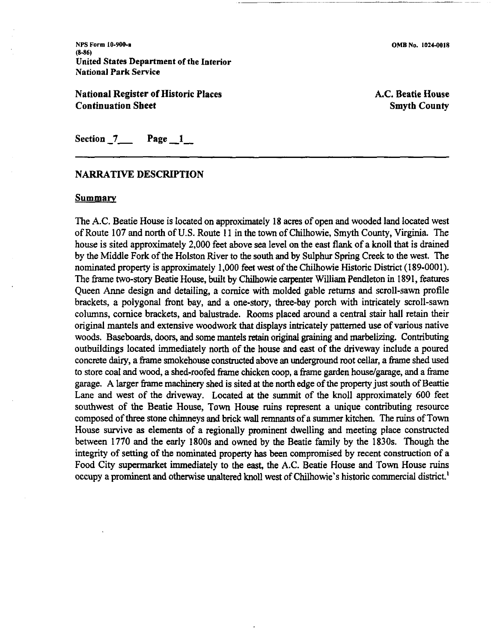NPS **Form 10-900-1 (8-86)**  United States Department of the Interior National Park Service

National Register of Historic Places Continuation Sheet

A.C. Beatie House Smyth County

Section  $7$  Page  $1$ 

#### **NARRATIVE DESCRIPTION**

#### Summary

The A.C. Beatie House is located on approximately 18 acres of open and wooded land located west of Route 107 and north of **U.S.** Route 1 1 in the town of Chilhowie, Smyth County, Virginia. The house is sited approximately 2,000 feet above sea level on the east **flank** of a knoll that is drained by the Middle Fork of the Holston River to the south and by Sulphur Spring Creek to the west. The nominated property is approximately 1,000 feet west of the Chilhowie Historic District (189-0001). The frame two-story Beatie House, built by Chilhowie carpenter William Pendleton in 1891, features Queen Anne design and detailing, a cornice with molded gable returns and scroll-sawn profile brackets, a polygonal front bay, and a one-story, three-bay porch with intricately scroll-sawn columns, cornice brackets, and balustrade. Rooms placed around a central stair hall retain their original mantels and extensive woodwork that displays intricately patterned use of various native woods. Baseboards, doors, and some mantels **retain** original graining and marbelizing. Contributing outbuildings located immediately north of the house and east of the driveway include a poured concrete dairy, a frame smokehouse constructed above an underground root cellar, a frame shed used to store coal and wood, a shed-roofed frame chicken coop, a frame garden house/garage, and a frame garage. A larger frame machinery shed is sited at the north edge of the property just south of Beattie Lane and west of the driveway. Located at the summit of the knoll approximately 600 feet southwest of the Beatie House, Town House ruins represent a unique contributing resource composed of three stone chimneys and brick wall remnants of a summer kitchen. The **ruins** of Town House survive as elements of a regionally prominent dwelling and meeting place constructed between 1770 and the early 1800s and owned by the Beatie family by the 1830s. Though the integrity of setting of the nominated property has been compromised by recent construction of a Food City supermarket immediately to the **east,** the A.C. Beatie House and Town House ruins occupy a prominent and otherwise unaltered knoll west of Chilhowie's historic commercial district.'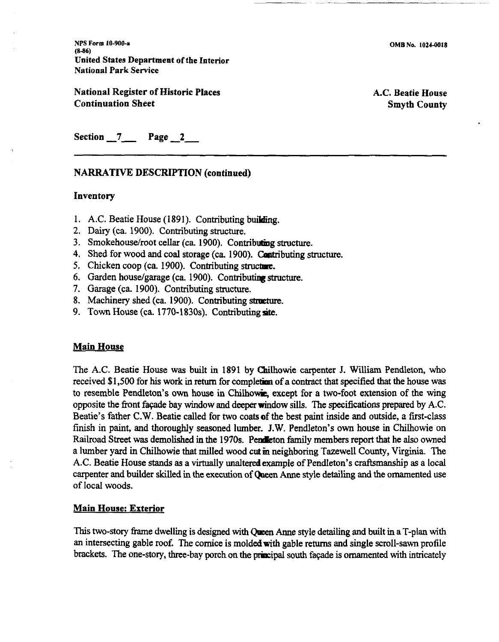**NPS Form 10-900-a (846)**  United States Department of the Interior National Park Service

National Register of Historic Places Continuation Sheet

A.C. Beatie House Smyth County

Section 7 Page 2

#### NARRATIVE DESCRIPTION (continued)

#### Inventory

- 1. A.C. Beatie House (1891). Contributing building.
- 2. Dairy (ca. 1900). Contributing structure.
- 3. Smokehouse/root cellar (ca. 1900). Contributing structure.
- 4. Shed for wood and coal storage (ca. 1900). Contributing structure.
- 5. Chicken coop (ca. 1900). Contributing structure.
- 6. Garden houselgarage (ca. 1900). Contributing **structure.**
- 7. Garage (ca. 1900). Contributing structure.
- 8. Machinery shed (ca. 1900). Contributing **strpcture.**
- 9. Town House (ca.  $1770-1830s$ ). Contributing site.

#### Main House

The A.C. Beatie House was built in 1891 by Chilhowie carpenter J. William Pendleton, who received \$1,500 for his work in return for completion of a contract that specified that the house was to resemble Pendleton's own house in Chilhowie, except for a two-foot extension of the wing opposite the front façade bay window and deeper window sills. The specifications prepared by A.C. Beatie's father C.W. Beatie called for two coats of the best paint inside and outside, a first-class finish in paint, and thoroughly seasoned lumber. J.W. Pendleton's own house in Chilhowie on Railroad Street was demolished in the 1970s. Pendeton family members report that he also owned a lumber yard in Chilhowie that milled wood cut **in** neighboring Tazewell County, Virginia. The A.C. Beatie House stands as a virtually unalteredexample of Pendleton's craftsmanship as a local carpenter and builder skilled in the execution of Queen Anne style detailing and the ornamented use of local woods.

#### Main House: Exterior

This two-story frame dwelling is designed with **Queen** Anne style detailing and built in a T-plan with an intersecting gable roof. The cornice is molded with gable returns and single scroll-sawn profile brackets. The one-story, three-bay porch on the principal south façade is ornamented with intricately

~ ~~~~~ - --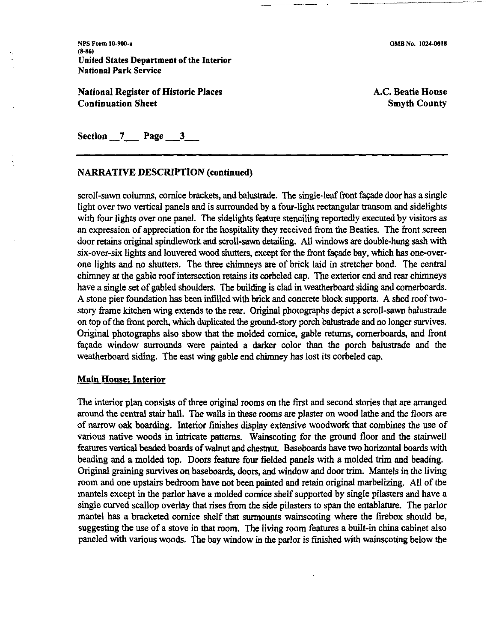**NPS** Form **10-900-1, (8-86)**  United States Department of the Interior National Park Service

National Register of Historic Places Continuation Sheet

**OMB No. 1024-0018** 

~

A.C. Beatie House Smyth County

Section 7 Page 3 ----- -

#### NARRATIVE DESCRIPTION (continued)

scroll-sawn columns, cornice brackets, and balustrade. The single-leaf front fapde door has a single light over two vertical panels and is surrounded by a four-light rectangular transom and sidelights with four lights over one panel. The sidelights feature stenciling reportedly executed by visitors as an expression of appreciation for the hospitality they received from the Beaties. The front screen door retains origmal spindlework and scroll-sawn detailing. All windows are double-hung sash with six-over-six lights and louvered wood shutters, except for the front faqade bay, which has one-overone lights and no shutters. The three chimneys are of brick laid in stretcher bond. The central chimney at the gable roof intersection retains its corbeled cap. The exterior end and rear chimneys have a single set of gabled shoulders. The building is clad in weatherboard siding and comerboards. A stone pier foundation has been infilled with brick and concrete block supports. A shed roof twostory frame kitchen wing extends to the rear. Original photographs depict a scroll-sawn balustrade on top of the front porch, which duplicated the ground-story porch balustrade and no longer survives. Original photographs also show that the molded cornice, gable returns, comerboards, and front faqade window surrounds were painted a darker color than the porch balustrade and the weatherboard siding. The east wing gable end chimney has lost its corbeled cap.

#### Main House: Interior

The interior plan consists of three original rooms on the first and second stories that are amanged around the central stair hall. The walls in these moms are plaster on wood lathe and the floors are of narrow oak boarding. Interior finishes display extensive woodwork that combines the use of various native woods in intricate patterns. Wainscoting for the ground floor and the stairwell features vertical beaded boards of walnut and chestnut. Baseboards have two horizontal boards with beading and a molded top. Doors feature four fielded panels with a molded **trim** and beading. Original graining survives on baseboards, doors, and window and door trim. Mantels in the living room and one upstairs bedroom have not been painted and retain original marbelizing. All of the mantels except in the parlor have a molded cornice shelf supported by single pilasters and have a single curved scallop overlay that rises from the side pilasters to span the entablature. The parlor mantel has a bracketed cornice shelf that surmounts wainscoting where the firebox should be, suggesting the use of a stove in that room. The living room features a built-in china cabinet also paneled with various woods. The bay window in the parlor is finished with wainscoting below the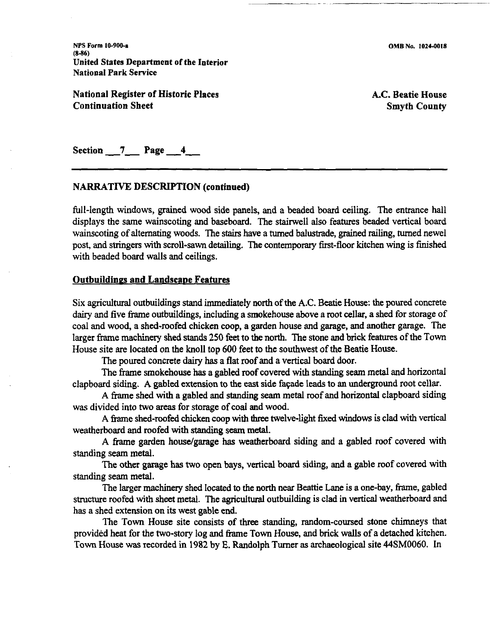NPS Form **10-900-a (8-86)**  United States Department of the Interior National Park Service

National Register of Historic Places Continuation Sheet

A.C. Beatie House Smyth County

Section 7 Page 4

#### NARRATIVE DESCRIPTION (continued)

full-length windows, grained wood side panels, and a beaded board ceiling. The entrance hall displays the same wainscoting and baseboard. The stairwell also features beaded vertical board wainscoting of alternating woods. The stairs have a turned balustrade, grained railing, turned newel post, and stringers with scroll-sawn detailing. The contemporary first-floor kitchen wing is finished with beaded board walls and ceilings.

#### Outbuildines and Landscaoe Features

Six agricultural outbuildings stand immediately north of the A.C. Beatie House: the poured concrete dairy and five frame outbuildings, including a smokehouse above a root cellar, a shed for storage of coal and wood, a shed-roofed chicken coop, a garden house and garage, and another garage. The larger frame machinery shed stands 250 feet to **the** north. The stone and brick features of the Town House site are located on the knoll top 600 feet to the southwest of the Beatie House.

The poured concrete dairy has a flat roof and a vertical board door.

The frame smokehouse has a gabled roof covered with standing seam metal and horizontal clapboard siding. A gabled extension to the east side faqade leads to an underground root cellar.

A frame shed with a gabled and standing seam metal roof and horizontal clapboard siding was divided into two areas for storage of coal and wood.

A frame shed-roofed chicken coop with three twelve-light fixed windows is clad with vertical weatherboard and roofed with standing seam metal.

A frame garden house/garage has weatherboard siding and a gabled roof covered with standing seam metal.

The other garage has two open bays, vertical board siding, and a gable roof covered with standing seam metal.

The larger machinery shed located to the north near Beattie Lane is a one-bay, frame, gabled structure roofed with sheet metal. The agricultural outbuilding is clad in vertical weatherboard and has a shed extension on its west gable end.

The Town House site consists of three standing, random-coursed stone chimneys that provided heat for the two-story log and frame Town House, and brick walls of a detached kitchen. Town House was recorded in 1982 by E. Randolph Turner as archaeological site 44SM0060. In

OMB No. **10244018**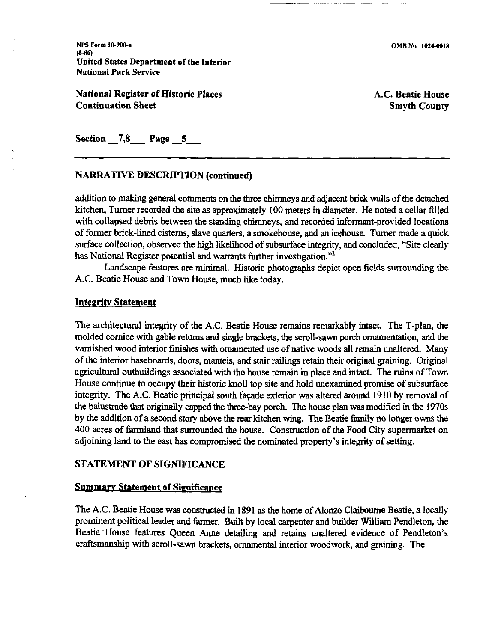NPS **Form 10-900-9 (8-86)**  United **States** Department of the Interior National Park Service

National Register of Historic Places Continuation Sheet

A.C. Beatie House Smyth County

Section 7,8 **Page 5** 

#### NARRATIVE DESCRIPTION (continued)

addition to making general comments on the three chimneys and adjacent brick walls of the detached kitchen, Turner recorded the site as approximately 100 meters in diameter. He noted a cellar filled with collapsed debris between the standing chimneys, and recorded informant-provided locations of former brick-lined cisterns, slave quarters, a smokehouse, and an icehouse. Turner made a **quick**  surface collection, observed the high likelihood of subsurface integrity, and concluded, "Site clearly has National Register potential and warrants further investigation."<sup>2</sup>

Landscape features are minimal. Historic photographs depict open fields surrounding the A.C. Beatie House and Town House, much like today.

#### **Integrity Statement**

The architectural integrity of the A.C. Beatie House remains remarkably intact. The T-plan, the molded cornice with gable returns and single brackets, the scroll-sawn porch ornamentation, and the varnished wood interior finishes with ornamented use of native woods all remain unaltered. Many of the interior baseboards, doors, mantels, and stair railings retain their original graining. Original agricultural outbuildings associated with the house remain in place and intact. The ruins of Town House continue to occupy their historic knoll top site and hold unexamined promise of subsurface integrity. The A.C. Beatie principal south façade exterior was altered around 1910 by removal of the balustrade that originally capped the three-bay porch. The house plan was modified in the 1970s by the addition of a second story above the rear kitchen wing. The Beatie family no longer owns the 400 acres of farmland that surrounded the house. Construction of the Food City supermarket on adjoining land to the east **has** compromised the nominated property's integrity of setting.

#### STATEMENT OF SIGNIFICANCE

#### **Summary Statement of Significance**

The A.C. Beatie House **was constructed** in 1891 as the home of Alonzo Claibourne Beatie, a locally prominent political leader and farmer. Built by local carpenter and builder William Pendleton, the Beatie 'House features Queen Anne detailing and retains unaltered evidence of Pendleton's craftsmanship with scroll-sawn brackets, ornamental interior woodwork, and graining. The

**OMB No. 1024-0018**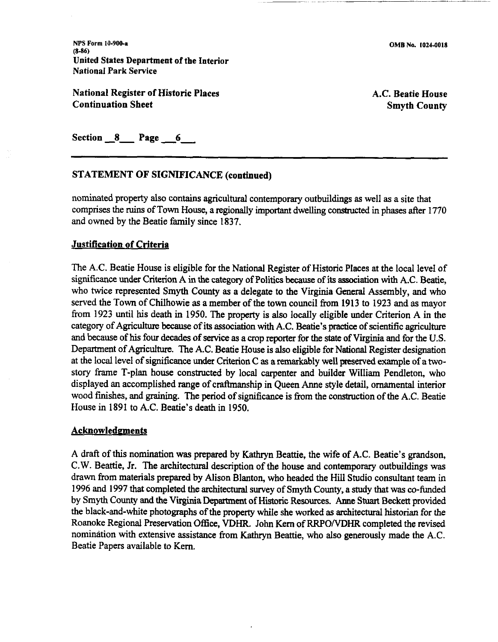NPS Form **10-900-a (846)**  United States Department of the Interior National Park Service

National Register of Historic Places Continuation Sheet

OMB No. **10244018** 

A.C. Beatie House Smyth County

Section 8 Page 6

#### STATEMENT OF SIGNIFICANCE (continued)

nominated property also contains agricultural contemporary outbuildings as well as a site that comprises the ruins of Town House, a regionally important dwelling constructed in phases after 1770 and owned by the Beatie family since 1837.

#### Justification of Criteria

The A.C. Beatie House is eligible for the National Register of Historic Places at the local level of significance under Criterion A in the category of Politics because of its association with A.C. Beatie, who twice represented Smyth County as a delegate to the Virginia General Assembly, and who served the Town of Chilhowie as a member of the town council from 1913 to 1923 and as mayor from 1923 until his death in 1950. The property is also locally eligible under Criterion A in the category of Agriculture because of its association with A.C. Beatie's **practice** of scientific agriculture and because of his four decades of service as a crop reporter for the **state** of Virginia and for the U.S. Department of Agriculture. The A.C. Beatie House is also eligible for National Register designation at the local level of significance **under** Criterion C as a remarkably well preserved example of a twostory frame T-plan house constructed by local carpenter and builder William Pendleton, who displayed an accomplished range of craffmanship in Queen Anne style detail, ornamental interior wood finishes, and graining. The period of significance is from the construction of the A.C. Beatie House in 1891 to A.C. Beatie's death in 1950.

#### **Acknowledgments**

A **draft** of this nomination **was** prepared by Kathryn Beattie, the wife of A.C. Beatie's grandson, C.W. Beattie, Jr. The architectural description of the house and contemporary outbuildings was drawn from materials prepared by Alison Blanton, who headed the Hill Studio consultant team in 1996 and 1997 that completed the architectural survey of Smyth County, a study that was co-funded by Smyth County and the Virginia Department of Historic Resources. Anne Stuart Beckett provided the black-and-white photographs of the property while she worked as architectural historian for the Roanoke Regional Preservation Office, VDHR. John Kern of RRPO/VDHR completed the revised nomination with extensive assistance from Kathryn Beattie, who also generously made the A.C. Beatie Papers available to Kern.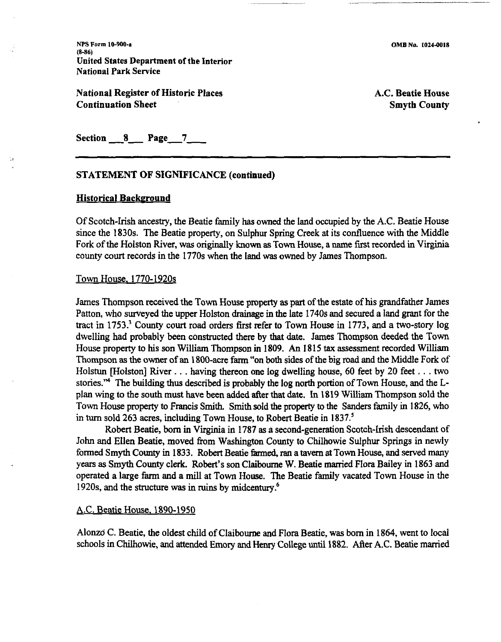NPS **Form 10300-a (8-86)**  United States Department of the Interior National Park Service

National Register of Historic Places Continuation Sheet

OMB **No. 1024-0018** 

A.C. Beatie House Smyth County

 $Section 8$  Page  $7$ 

#### STATEMENT OF SIGNIFICANCE (continued)

#### **Historical Background**

Of Scotch-Irish ancestry, the Beatie family has owned the land occupied by the A.C. Beatie House since the 1830s. The Beatie property, on Sulphur Spring Creek at its confluence with the Middle Fork of the Holston River, was originally known as Town House, a name first recorded in Virginia county court records in the 1770s when the land was owned by James Thompson.

#### Town House. 1770- 1920s

James Thompson received the Town House property as part of the estate of his grandfather James Patton, who surveyed the upper Holston drainage in the late 1740s and secured a land grant for the tract in 1753.' County court road orders first refer to Town House in 1773, and a two-story log dwelling had probably been constructed there by that date. James Thompson deeded the Town House property to his son William Thompson in 1809. An 1815 **tax** assessment recorded William Thompson as the owner of an 1800-acre farm "on both sides of the big road and the Middle Fork of Holstun [Holston] River . . . having thereon one log dwelling house, 60 feet by 20 feet . . . two stories.'" The building **thus** described is probably the log north portion of Town House, and the **L**plan wing to the south must have been added after that date. In 1819 William Thompson sold the Town House property to Francis Smith. Smith sold the property to the Sanders family in 1826, who in turn sold 263 acres, including Town House, to Robert Beatie in 1837.'

Robert Beatie, born in Virginia in 1787 as a second-generation Scotch-Irish descendant of John and Ellen Beatie, moved from Washington County to Chilhowie Sulphur Springs in newly formed Smyth County in 1833. Robert Beatie farmed, ran a tavern at Town House, and served many years as Smyth County clerk. Robert's son Claiboume W. Beatie **married** Flora Bailey in 1863 and operated a large farm and a mill at Town House. The Beatie family vacated Town House in the 1920s, and the structure was in ruins by midcentury.<sup>6</sup>

#### A.C. Beatie House. 1890-1950

Alonzd C. Beatie, the oldest child of Claibourne and Flora Beatie, was born in 1864, went to local schools in Chilhowie, and attended Emory and Henry College until 1882. After A.C. Beatie married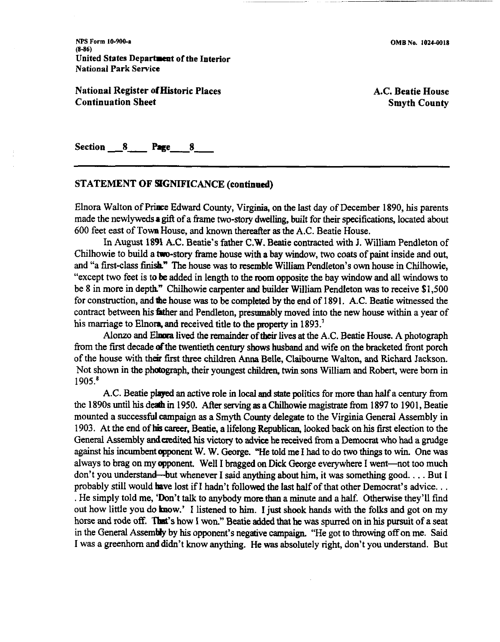OMB No. **10244018** 

NPS **Form 10-900-0 (8-86)**  United States Department of the Interior National Park Service

National Register of Historic Places Continuation Sheet Continuation Sheet<br>Continuation Sheet<br>Section 8 Page 8 A.C. Beatie House Smyth County

#### STATEMENT OF SGNIFICANCE (continad)

Elnora Walton of Prince Edward County, Virginia, on the last day of December 1890, his parents made the newlywedsa *gft* of a frame two-story dwelling, built for their specifications, located about 600 feet east of Town House, and known thereafter as the A.C. Beatie House.

- --

In August 1891 A.C. Beatie's father C.W. Beatie contracted with J. William Pendleton of Chilhowie to build a two-story frame house with a bay window, two coats of paint inside and out, and "a first-class finish." The house was to resemble William Pendleton's own house in Chilhowie, "except two feet is to be added in length to the room opposite the bay window and all windows to be 8 in more in depth" Chilhowie carpenter aad builder William Pendleton was to receive \$1,500 for construction, and the house was to be completed by the end of 1891. A.C. Beatie witnessed the contract between his fither and Pendleton, presumably moved into the new house within a year of his marriage to Elnom, and received title to the property in 1893.<sup>7</sup>

Alonzo and Elnora lived the remainder of their lives at the A.C. Beatie House. A photograph from the first decade of the twentieth century shows husband and wife on the bracketed front porch of the house with their first three children Anna Belle, Claibourne Walton, and Richard Jackson. Not shown in the photograph, their youngest children, twin sons William and Robert, were born in 1905.'

A.C. Beatie plaged an active role in local and **state** politics for more than half a century from the 1890s until his death in 1950. After serving as a Chilhowie magistrate from 1897 to 1901, Beatie mounted a successful campaign as a Smyth County delegate to the Virginia General Assembly in 1903. At the end of **hk** career, Beatie, a lifelong Republican, looked back on his first election to the General Assembly and credited his victory to advice he received from a Democrat who had a grudge against his incumbent opponent W. W. George. "He told me I had to do two things to win. One was always to brag on my opponent. Well I bragged on Dick George everywhere I went--not too much don't you understand—but whenever I said anything about him, it was something good. . . . But I probably still would have lost if I hadn't followed the last half of that other Democrat's advice. . .<br>He simply told me, 'Don't talk to anybody more than a minute and a half. Otherwise they'll find out how little you do know.' I listened to him. I just shook hands with the folks and got on my horse and rode off. That's how I won." Beatie added that he was spurred on in his pursuit of a seat in the General Assembly by his opponent's negative campaign. "He got to throwing off on me. Said I was a greenhorn and didn't know anything. He **was** absolutely right, don't you understand. But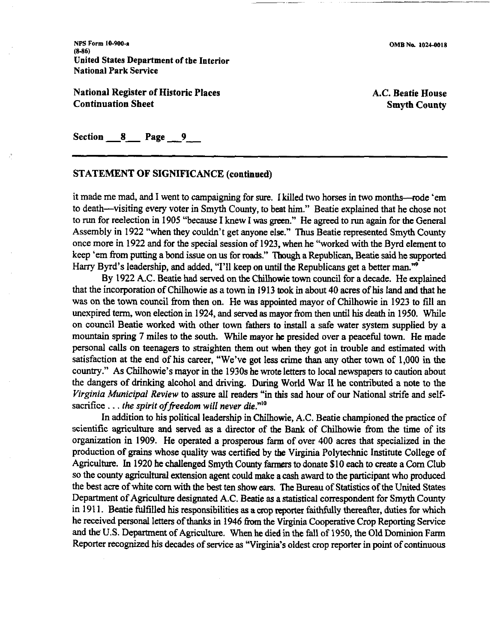NPS Form **LO-900.9 (8-86)**  United States Department of tbe Interior National Park Service

National Register of Historic Places Continuation Sheet

A.C. Beatie House Smyth County

Section 8 Page 9

# - -- STATEMENT OF SIGNIFICANCE (continued)

it made me mad, and I went to campaigning for **sure.** I killed two horses in two months--rode 'em to death-visiting every voter in Smyth County, to beat him." Beatie explained that he chose not to run for reelection in 1905 "because I knew I was **green."** He agreed to run again for the General Assembly in 1922 "when they couldn't get anyone else." Thus Beatie represented Smyth County once more in 1922 and for the special session of 1923, when he "worked with the Byrd element to keep 'em from putting a bond issue on us for roads." Though a Republican, Beatie said he supported Harry Byrd's leadership, and added, "I'll keep on until the Republicans get a better man."

By 1922 A.C. Beatie had served on the Chilhowie town council for a decade. He explained that the incorporation of Chilhowie as a town in 1913 took in about 40 acres of his land and that he was on the town council from then on. He was appointed mayor of Chilhowie in 1923 to fill an unexpired term, won election in 1924, and served as mayor from then until his death in 1950. While on council Beatie worked with other town fathers to install a safe water system supplied by a mountain spring 7 miles to the south. While mayor he presided over a peaceful town. He made personal calls on teenagers to straighten them out when they got in trouble and estimated with satisfaction at the end of his career, "We've got less crime than any other town of 1,000 in the country." As Chilhowie's mayor in the 1930s he **mte** letters to local newspapers to caution about the dangers of drinking alcohol and driving. During World War **I1** he contributed a note to the Virginia Municipal Review to assure all readers "in this sad hour of our National strife and selfsacrifice  $\dots$  the spirit of freedom will never die."<sup>10</sup>

In addition to his political leadership in Chilhowie, A.C. Beatie championed the practice of scientific agriculture and served as a director of the Bank of Chilhowie from the time of its organization in 1909. He operated a prosperous farm of over 400 acres that specialized in the production of **grains** whose quality **was** certified by the Virginia Polytechnic Institute College of Agriculture. In 1920 he challenged Smyth County farmers to donate \$10 each to create a Corn Club so the county agricultural extension agent could make a cash award to the participant who produced the best acre of white corn with the best ten show ears. The Bureau of Statistics of the United States Department of Agriculture designated A.C. Beatie **as** a statistical correspondent for Smyth County in 1911. Beatie fulfilled his responsibilities as a crop reporter faithfully thereafter, duties for which he received personal letters of thanks in 1946 from the Virginia Cooperative Crop Reporting Service and the' U.S. Department of Agriculture. When he died in the fall of 1950, the Old Dominion Farm Reporter recognized his decades of service **as** "Virginia's oldest crop reporter in point of continuous

-. .- . --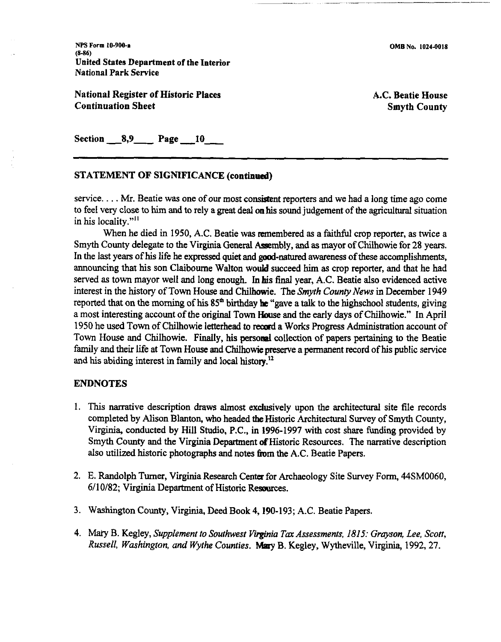NPS **Form 10-900-1 (6-86)**  United States Department of the Interior National Park Service

National Register of Historic Places Continuation Sheet

A.C. Beatie House Smyth County

Section **-8,9-** Page **10-** 

#### STATEMENT OF SIGNIFICANCE (continued)

service. . . . Mr. Beatie was one of our most consistent reporters and we had a long time ago come to feel very close to him and to rely a great deal on his sound judgement of the agricultural situation in his locality."<sup>11</sup>

When he died in 1950, A.C. Beatie was remembered as a faithful crop reporter, as twice a Smyth County delegate to the Virginia General Assembly, and as mayor of Chilhowie for 28 years. In the last years of his life he expressed quiet and good-natured awareness of these accomplishments, announcing that his son Claiboume Walton would succeed **him** as crop reporter, and that he had served as town mayor well and long enough. In his final year, A.C. Beatie also evidenced active interest in the history of Town House and Chilhowie. The Smyth County News in December 1949 reported that on the morning of his  $85<sup>th</sup>$  birthday he "gave a talk to the highschool students, giving a most interesting account of the original Town **House** and the early days of Chilhowie." In April 1950 he used Town of Chilhowie letterhead to record a Works Progress Administration account of Town House and Chilhowie. Finally, his personal collection of papers pertaining to the Beatie family and their life at Town House and Chilhowie preserve a permanent record of his public service and his abiding interest in family and local history.<sup>12</sup>

#### ENDNOTES

- 1. This narrative description draws almost exclusively upon the architectural site file records completed by Alison Blanton, who headed the Historic Architectural Survey of Smyth County, Virginia, conducted by Hill Studio, P.C., in 1996-1997 with cost share funding provided by Smyth County and the Virginia Department of Historic Resources. The narrative description also utilized historic photographs and notes from the A.C. Beatie Papers.
- 2. E. Randolph Turner, Virginia Research Center for Archaeology Site Survey Form, 44SM0060, 611 0182; Virginia Department of Historic Resources.
- 3. Washington County, Virginia, Deed Book 4,190-193; A.C. Beatie Papers.
- 4. *Miuy* B. Kegley, Supplement to Southwest **Virginia** *Tax* Assessments, **1815:** Grayson, Lee, Scott, Russell, Washington, **and** Wythe Counties. *Maty* B. Kegley, Wytheville, Virginia, 1992,27.

OMB No. **1024-0018** 

. -- --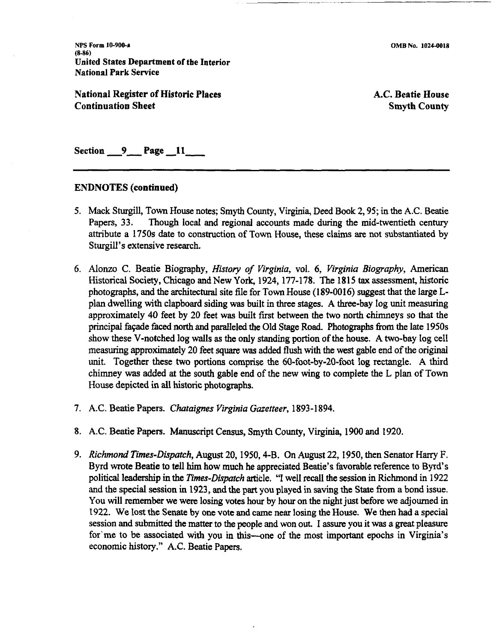OMB No. 1024-0018

~.~ --

**NPS Form 10-9Wr (8-86)**  United States Department of tbe Interior National Park Service

National Register of Historic Places Continuation Sheet

A.C. Beatie House Smyth County

Section 9 Page 11

#### ENDNOTES (continued)

- 5. Mack Sturgill, Town House notes; Smyth County, **Virginia,** Deed Book 2,95; in the A.C. Beatie Papers, 33. Though local and regional accounts made during the mid-twentieth century attribute a 1750s date to construction of Town House, these claims **are** not substantiated by Sturgill's extensive research.
- 6. Alonzo C. Beatie Biography, *History of Virginia,* vol. *6, Virginia Biography,* American Historical Society, Chicago and New York, 1924, 177-178. The 1815 **tax** assessment, historic photographs, and the architectural site file for Town House (189-0016) suggest that the large Lplan dwelling with clapboard siding was built in three stages. A three-bay log unit measuring approximately 40 feet by 20 feet was built first between the two north chimneys so that the principal façade faced north and paralleled the Old Stage Road. Photographs from the late 1950s show these V-notched log walls as the only standing portion of the house. A two-bay log cell measuring approximately 20 feet square **was** added **flush** with the west gable end of the original unit. Together these two portions comprise the 60-foot-by-20-foot log rectangle. A third chimney was added at the south gable end of the new wing to complete the L plan of Town House depicted in all historic photographs.
- 7. A.C. Beatie Papers. *Chataignes Virginia Gazetteer,* 1893-1894.
- 8. A.C. Beatie Papers. Manuscript Census, Smyth County, Virginia, 1900 and 1920.
- 9. *Richmond Times-Dispatch,* **August** 20, 1950,4-B. On August 22,1950, then Senator Hany F. Byrd wrote Beatie to tell him how much he appreciated Beatie's favorable reference to Byrd's political leadership in the *Times-Dispatch* article. "I well recall the session in Richmond in 1922 and the special session in 1923, and the part you played in saving the State from a bond issue. You will remember we were losing votes hour by hour on the night just before we adjourned in 1922. We lost the Senate by one vote and came near losing the House. We then had a special session and submitted the matter to the people and won out. I assure you it was a great pleasure for me to be associated with you in this---one of the most important epochs in Virginia's economic history." A.C. Beatie Papers.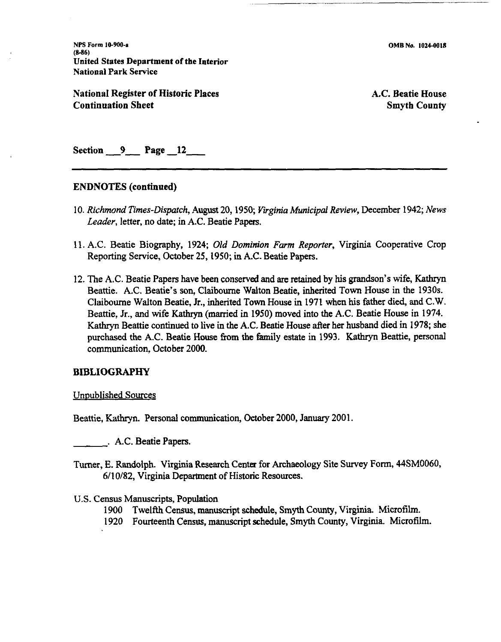NPS **Form 10-900-a (8-36)**  United States Department of the Interior National Park Service

National Register of Historic Places Continuation Sheet

OMB No. **1024-0018** 

A.C. Beatie House Smyth County

Section 9 Page 12

#### **ENDNOTES** (continued)

- 10. *Richmond Times-Dispatch,* August 20,1950; *Virginia Municipal Review,* December 1942; *News Leader,* letter, no date; in A.C. Beatie Papers.
- 11. A.C. Beatie Biography, 1924; Old *Dominion Farm Reporter,* Virginia Cooperative Crop Reporting Service, October 25,1950; in A.C. Beatie Papers.
- 12. The A.C. Beatie Papers have been conserved and are retained by his grandson's wife, Kathryn Beattie. A.C. Beatie's son, Claibourne Walton Beatie, inherited Town House in the 1930s. Claibourne Walton Beatie, Jr., inherited Town House in 1971 when his father died, and C.W. Beattie, Jr., and wife Kathryn (married in 1950) moved into the A.C. Beatie House in 1974. Kathryn Beattie continued to live in the A.C. Beatie House after her husband died in 1978; she purchased the A.C. Beatie House from the family estate in 1993. Kathryn Beattie, personal communication, October 2000.

#### **BIBLIOGRAPHY**

Unpublished Sources

Beattie, **Kathryn.** Personal communication, October 2000, **January** 2001.

. A.C. Beatie Papers.

Turner, E. Randolph. Virginia Research Center for Archaeology Site Survey Form, 44SM0060, 6/10/82, Virginia Department of Historic Resources.

#### U.S. **Census** Manuscripts, Population

- 1900 Twelfth Census, manuscript schedule, Smyth County, Virginia Microfilm.
- 1920 Fourteenth Census, manuscript schedule, Smyth County, Virginia. Microfilm.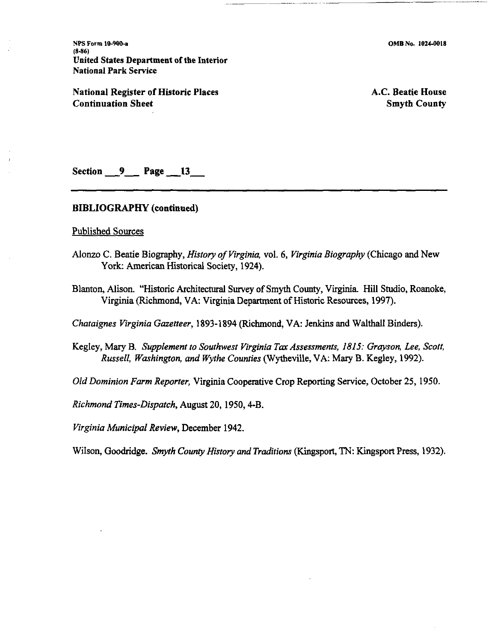**NPS Form 10-900-a (8-86) United States Department of tbe Interior National Park Service** 

**National Register of Historic Places Continuation Sheet** 

**A.C. Beatie House Smyth County** 

Section 9 Page 13

#### **BIBLIOGRAPHY (continued)**

Published Sources

- Alonzo C. Beatie Biography, *History of Virginia,* vol. *6, Virginia Biography* (Chicago and New York: American Historical Society, 1924).
- Blanton, Alison. "Historic Architectural Survey of Smyth County, Virginia Hill Studio, Roanoke, Virginia (Richmond, VA. Virginia Department of Historic Resources, 1997).

*Chataignes Virginia Gazetteer,* 1893-1894 (Richmond, VA: Jenkins and Walthall Binders).

Kegley, Mary B. *Supplement to Southwest Virginia Tax Assessments, 1815: Grayson, Lee, Scott, Russell, Washington, and Wythe Counties* (Wytheville, VA: Mary B. Kegley, 1992).

*Old Dominion Farm Reporter,* Virginia Cooperative Crop Reporting Service, October 25, 1950.

*Richmond Times-Dispatch,* August 20, 1950,4-B.

*Virginia Municipal Review,* December 1942.

Wilson, Goodridge. *Smyth County History and Traditions* (Kingsport, TN: Kingsport Press, 1932).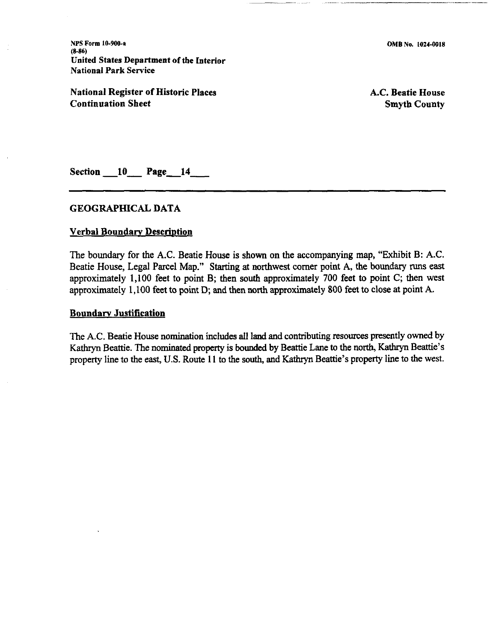**NPS Form 10-900-s (8-86)**  United States Department of the Interior National Park Service

National Register of Historic Places Continuation Sheet

A.C. Beatie House Smyth County

Section **-10-** Page-14-

#### GEOGRAPHICAL DATA

#### **Verbal Boundary Description**

The boundary for the **A.C.** Beatie House is shown on the accompanying map, "Exhibit B: **A.C.**  Beatie House, Legal Parcel Map." Starting at northwest corner point A, the boundary runs east approximately 1,100 feet to point B; then south approximately 700 feet to point **C;** then west approximately 1,100 feet to point D; and then **north** approximately 800 feet to close at point **A.** 

#### Boundarv Justification

The **A.C.** Beatie House nomination includes all land and contributing resources presently owned by Kathryn Beattie. The nominated property is bounded by Beattie Lane to the north, Kathryn Beattie's property line to the east, U.S. Route 11 to the south, and Kathryn Beattie's property line to the west.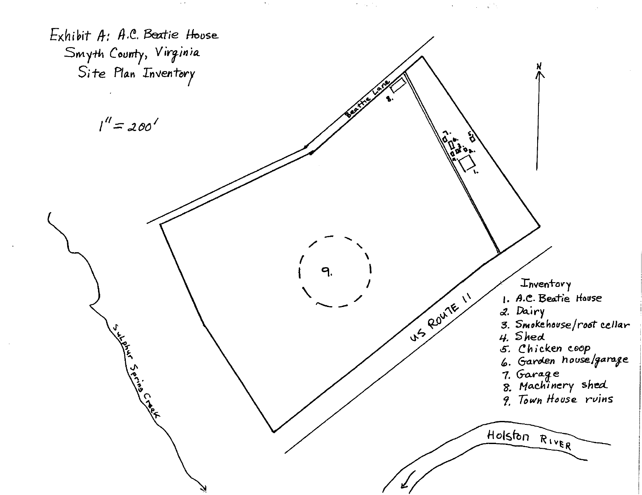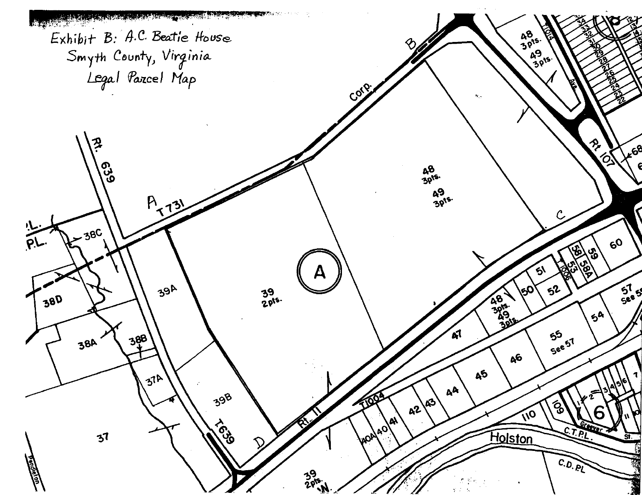**THE REAL PROPERTY OF STATE AND REAL PROPERTY.**  $3.476$ Exhibit B: A.C. Beatie House  $48$ <br> $30^{15}$  $49/5$ Smyth County, Virginia<br>Legal Pazcel Map Corp. RIVET 짖 **AG8 629 48**<br>3015 49<br>3pts.  $A_{12}$ **38C**  $\bar{\rho}$  $60$  $\bigcirc$ ్తు<br>0 ્રિ a 39A  $5^{1}_{5}$  $52$ **\୧୦** 39<br>2015. **ARB 1995** 380  $5<sup>A</sup>$ 55<br>See 51 ี่ ผ 388 **38A**  $A^6$ ДŚ  $31<sup>h</sup>$ **AA** 39B 1003 ÁЭ  $\mathcal{S}_{\mathbf{Q}}$  $A^2$ VO vap Aqual **EOS Holston**  $3<sup>7</sup>$  $C.D. P<sub>l</sub>$ **Ra**  $rac{39}{205}$ N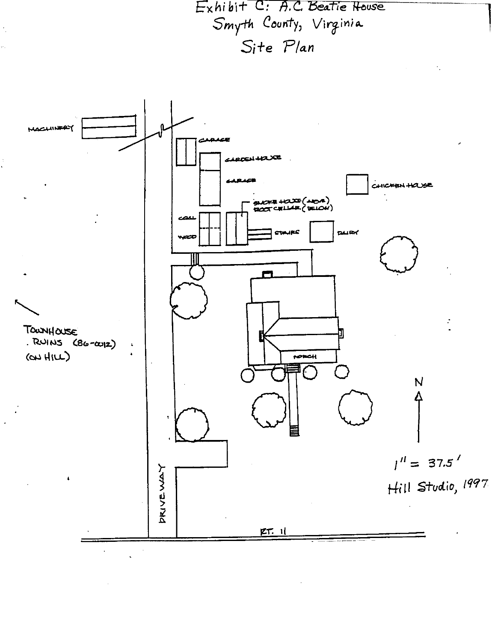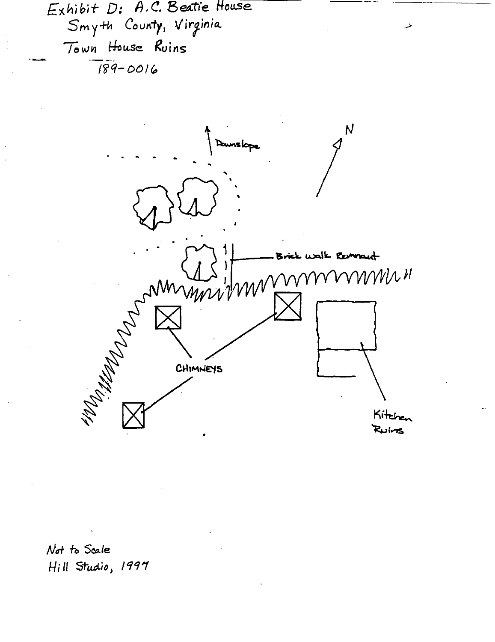Exhibit D: A.C. Beatie House Smyth County, Virginia Town House Ruins  $\frac{189-0016}{189-0016}$ 



Not to Scale Hill Studio, 1997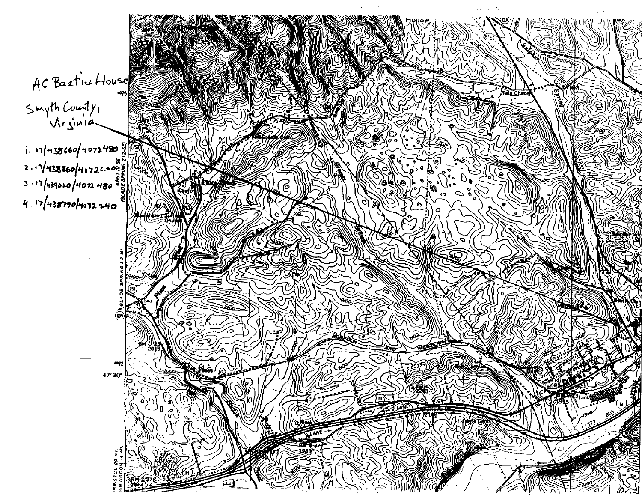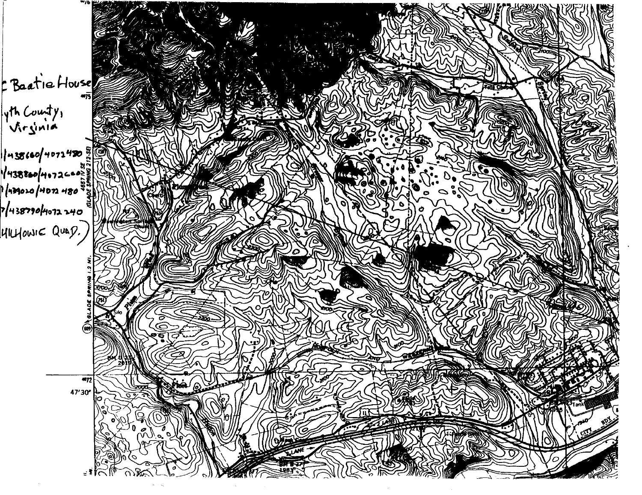